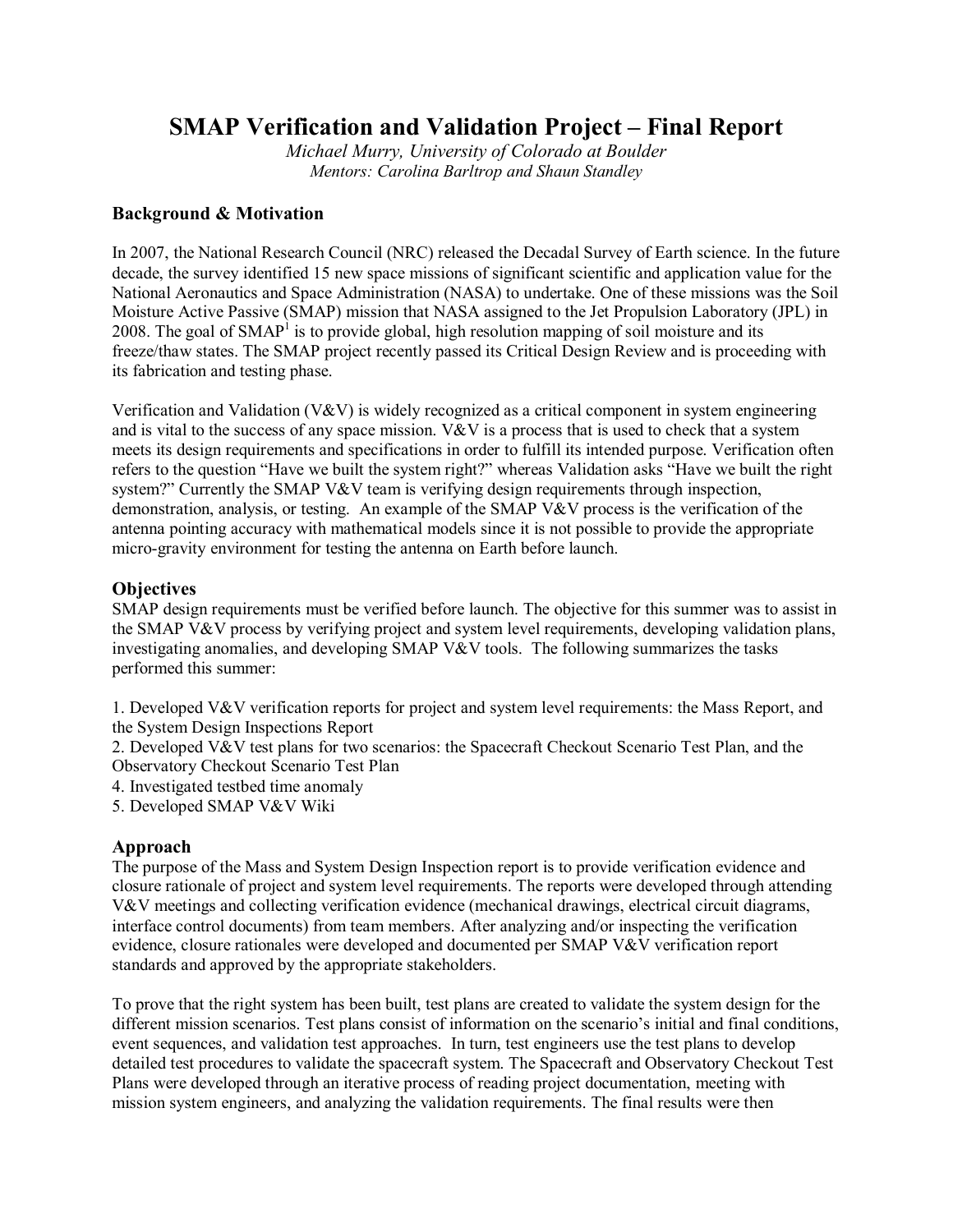# **SMAP Verification and Validation Project – Final Report**

*Michael Murry, University of Colorado at Boulder Mentors: Carolina Barltrop and Shaun Standley*

## **Background & Motivation**

In 2007, the National Research Council (NRC) released the Decadal Survey of Earth science. In the future decade, the survey identified 15 new space missions of significant scientific and application value for the National Aeronautics and Space Administration (NASA) to undertake. One of these missions was the Soil Moisture Active Passive (SMAP) mission that NASA assigned to the Jet Propulsion Laboratory (JPL) in 2008. The goal of  $SMAP<sup>1</sup>$  is to provide global, high resolution mapping of soil moisture and its freeze/thaw states. The SMAP project recently passed its Critical Design Review and is proceeding with its fabrication and testing phase.

Verification and Validation (V&V) is widely recognized as a critical component in system engineering and is vital to the success of any space mission.  $V\&V$  is a process that is used to check that a system meets its design requirements and specifications in order to fulfill its intended purpose. Verification often refers to the question "Have we built the system right?" whereas Validation asks "Have we built the right system?" Currently the SMAP V&V team is verifying design requirements through inspection, demonstration, analysis, or testing. An example of the SMAP V&V process is the verification of the antenna pointing accuracy with mathematical models since it is not possible to provide the appropriate micro-gravity environment for testing the antenna on Earth before launch.

#### **Objectives**

SMAP design requirements must be verified before launch. The objective for this summer was to assist in the SMAP V&V process by verifying project and system level requirements, developing validation plans, investigating anomalies, and developing SMAP V&V tools. The following summarizes the tasks performed this summer:

1. Developed V&V verification reports for project and system level requirements: the Mass Report, and the System Design Inspections Report

2. Developed V&V test plans for two scenarios: the Spacecraft Checkout Scenario Test Plan, and the Observatory Checkout Scenario Test Plan

4. Investigated testbed time anomaly

5. Developed SMAP V&V Wiki

## **Approach**

The purpose of the Mass and System Design Inspection report is to provide verification evidence and closure rationale of project and system level requirements. The reports were developed through attending V&V meetings and collecting verification evidence (mechanical drawings, electrical circuit diagrams, interface control documents) from team members. After analyzing and/or inspecting the verification evidence, closure rationales were developed and documented per SMAP V&V verification report standards and approved by the appropriate stakeholders.

To prove that the right system has been built, test plans are created to validate the system design for the different mission scenarios. Test plans consist of information on the scenario's initial and final conditions, event sequences, and validation test approaches. In turn, test engineers use the test plans to develop detailed test procedures to validate the spacecraft system. The Spacecraft and Observatory Checkout Test Plans were developed through an iterative process of reading project documentation, meeting with mission system engineers, and analyzing the validation requirements. The final results were then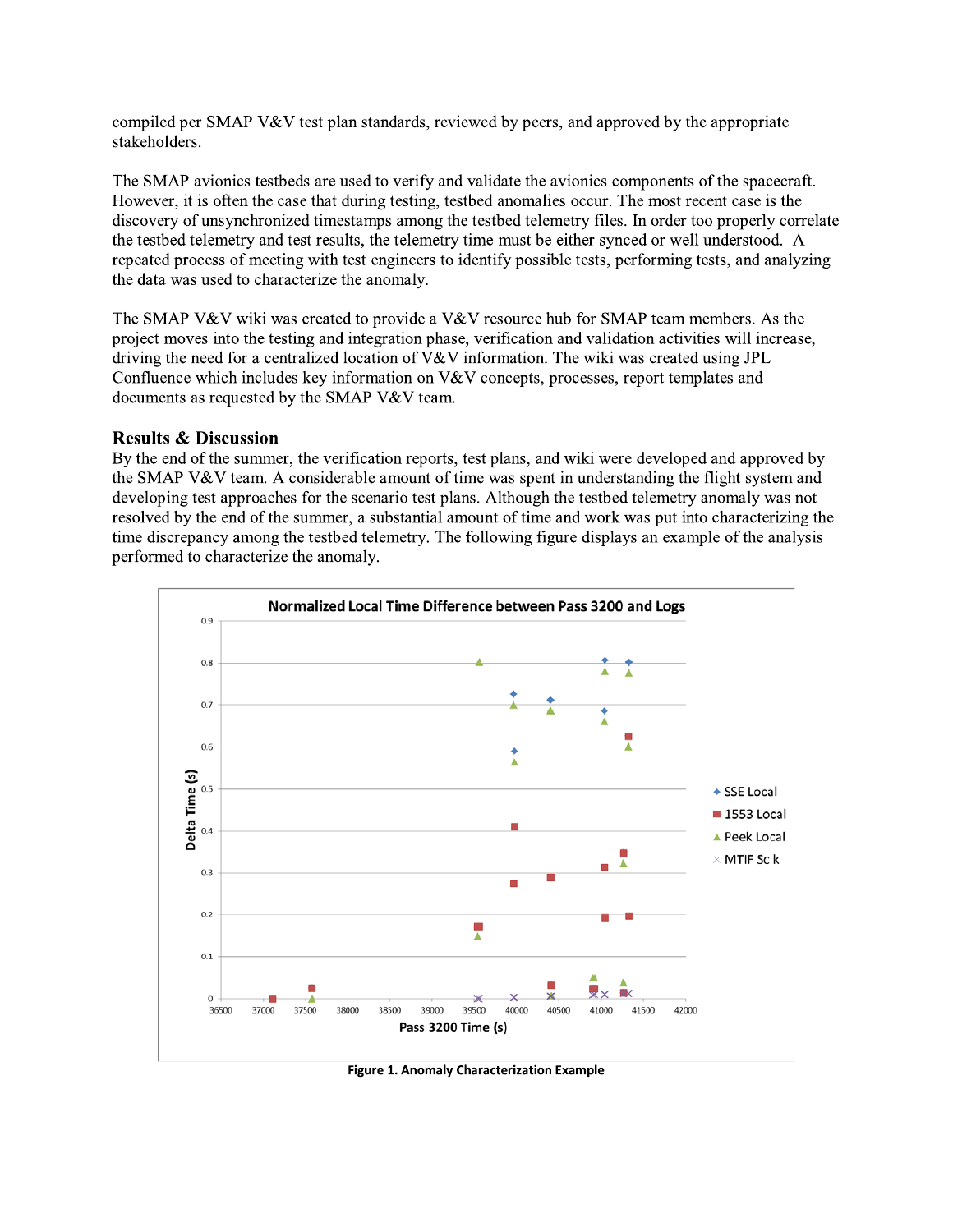compiled per SMAP V&V test plan standards, reviewed by peers, and approved by the appropriate stakeholders.

The SMAP avionics testbeds are used to verify and validate the avionics components of the spacecraft. However, it is often the case that during testing, testbed anomalies occur. The most recent case is the discovery of unsynchronized timestamps among the testbed telemetry files. In order too properly correlate the testbed telemetry and test results, the telemetry time must be either synced or well understood. A repeated process of meeting with test engineers to identify possible tests, performing tests, and analyzing the data was used to characterize the anomaly.

The SMAP V&V wiki was created to provide a V&V resource hub for SMAP team members. As the project moves into the testing and integration phase, verification and validation activities will increase, driving the need for a centralized location of V&V information. The wiki was created using JPL Confluence which includes key information on V&V concepts, processes, report templates and documents as requested by the SMAP V&V team.

#### **Results & Discussion**

By the end of the summer, the verification reports, test plans, and wiki were developed and approved by the SMAP V&V team. A considerable amount of time was spent in understanding the flight system and developing test approaches for the scenario test plans. Although the testbed telemetry anomaly was not resolved by the end of the summer, a substantial amount of time and work was put into characterizing the time discrepancy among the testbed telemetry. The following figure displays an example of the analysis performed to characterize the anomaly.



Figure 1. Anomaly Characterization Example